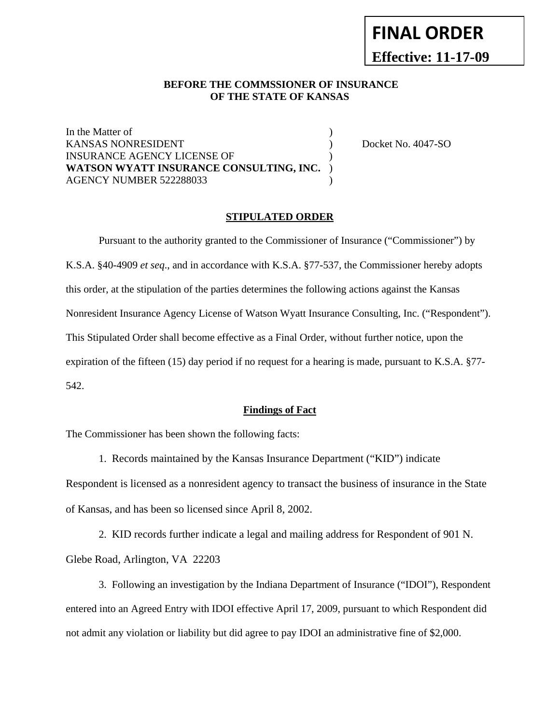# **FINAL ORDER Effective: 11-17-09**

## **BEFORE THE COMMSSIONER OF INSURANCE OF THE STATE OF KANSAS**

In the Matter of  $\blacksquare$ KANSAS NONRESIDENT ) Docket No. 4047-SO INSURANCE AGENCY LICENSE OF  $\qquad \qquad$  ) **WATSON WYATT INSURANCE CONSULTING, INC.** ) AGENCY NUMBER 522288033

#### **STIPULATED ORDER**

Pursuant to the authority granted to the Commissioner of Insurance ("Commissioner") by K.S.A. §40-4909 *et seq*., and in accordance with K.S.A. §77-537, the Commissioner hereby adopts this order, at the stipulation of the parties determines the following actions against the Kansas Nonresident Insurance Agency License of Watson Wyatt Insurance Consulting, Inc. ("Respondent"). This Stipulated Order shall become effective as a Final Order, without further notice, upon the expiration of the fifteen (15) day period if no request for a hearing is made, pursuant to K.S.A. §77- 542.

#### **Findings of Fact**

The Commissioner has been shown the following facts:

1. Records maintained by the Kansas Insurance Department ("KID") indicate

Respondent is licensed as a nonresident agency to transact the business of insurance in the State of Kansas, and has been so licensed since April 8, 2002.

 2. KID records further indicate a legal and mailing address for Respondent of 901 N. Glebe Road, Arlington, VA 22203

 3. Following an investigation by the Indiana Department of Insurance ("IDOI"), Respondent entered into an Agreed Entry with IDOI effective April 17, 2009, pursuant to which Respondent did not admit any violation or liability but did agree to pay IDOI an administrative fine of \$2,000.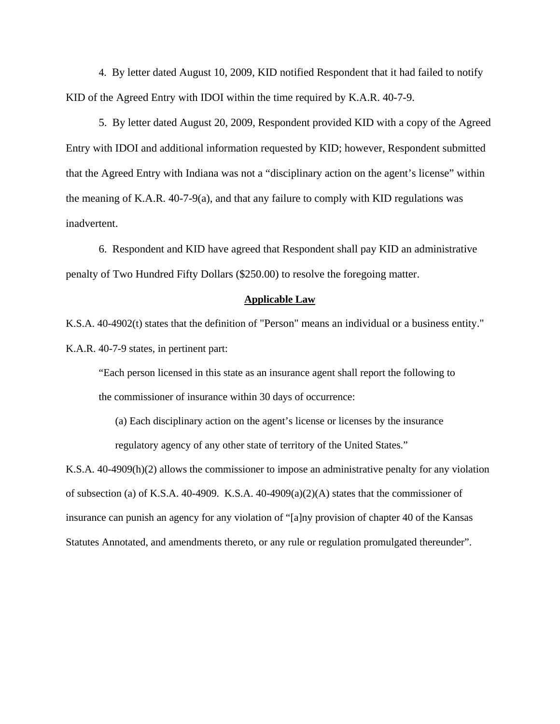4. By letter dated August 10, 2009, KID notified Respondent that it had failed to notify KID of the Agreed Entry with IDOI within the time required by K.A.R. 40-7-9.

 5. By letter dated August 20, 2009, Respondent provided KID with a copy of the Agreed Entry with IDOI and additional information requested by KID; however, Respondent submitted that the Agreed Entry with Indiana was not a "disciplinary action on the agent's license" within the meaning of K.A.R. 40-7-9(a), and that any failure to comply with KID regulations was inadvertent.

 6. Respondent and KID have agreed that Respondent shall pay KID an administrative penalty of Two Hundred Fifty Dollars (\$250.00) to resolve the foregoing matter.

#### **Applicable Law**

K.S.A. 40-4902(t) states that the definition of "Person" means an individual or a business entity." K.A.R. 40-7-9 states, in pertinent part:

"Each person licensed in this state as an insurance agent shall report the following to the commissioner of insurance within 30 days of occurrence:

(a) Each disciplinary action on the agent's license or licenses by the insurance regulatory agency of any other state of territory of the United States."

K.S.A. 40-4909(h)(2) allows the commissioner to impose an administrative penalty for any violation of subsection (a) of K.S.A.  $40-4909$ . K.S.A.  $40-4909(a)(2)(A)$  states that the commissioner of insurance can punish an agency for any violation of "[a]ny provision of chapter 40 of the Kansas Statutes Annotated, and amendments thereto, or any rule or regulation promulgated thereunder".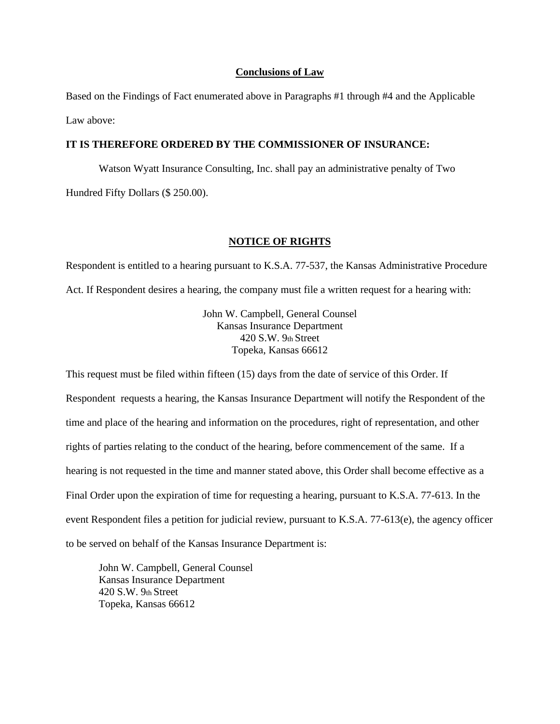#### **Conclusions of Law**

Based on the Findings of Fact enumerated above in Paragraphs #1 through #4 and the Applicable

Law above:

## **IT IS THEREFORE ORDERED BY THE COMMISSIONER OF INSURANCE:**

Watson Wyatt Insurance Consulting, Inc. shall pay an administrative penalty of Two

Hundred Fifty Dollars (\$ 250.00).

## **NOTICE OF RIGHTS**

Respondent is entitled to a hearing pursuant to K.S.A. 77-537, the Kansas Administrative Procedure

Act. If Respondent desires a hearing, the company must file a written request for a hearing with:

John W. Campbell, General Counsel Kansas Insurance Department 420 S.W. 9th Street Topeka, Kansas 66612

This request must be filed within fifteen (15) days from the date of service of this Order. If Respondent requests a hearing, the Kansas Insurance Department will notify the Respondent of the time and place of the hearing and information on the procedures, right of representation, and other rights of parties relating to the conduct of the hearing, before commencement of the same. If a hearing is not requested in the time and manner stated above, this Order shall become effective as a Final Order upon the expiration of time for requesting a hearing, pursuant to K.S.A. 77-613. In the event Respondent files a petition for judicial review, pursuant to K.S.A. 77-613(e), the agency officer to be served on behalf of the Kansas Insurance Department is:

John W. Campbell, General Counsel Kansas Insurance Department 420 S.W. 9th Street Topeka, Kansas 66612